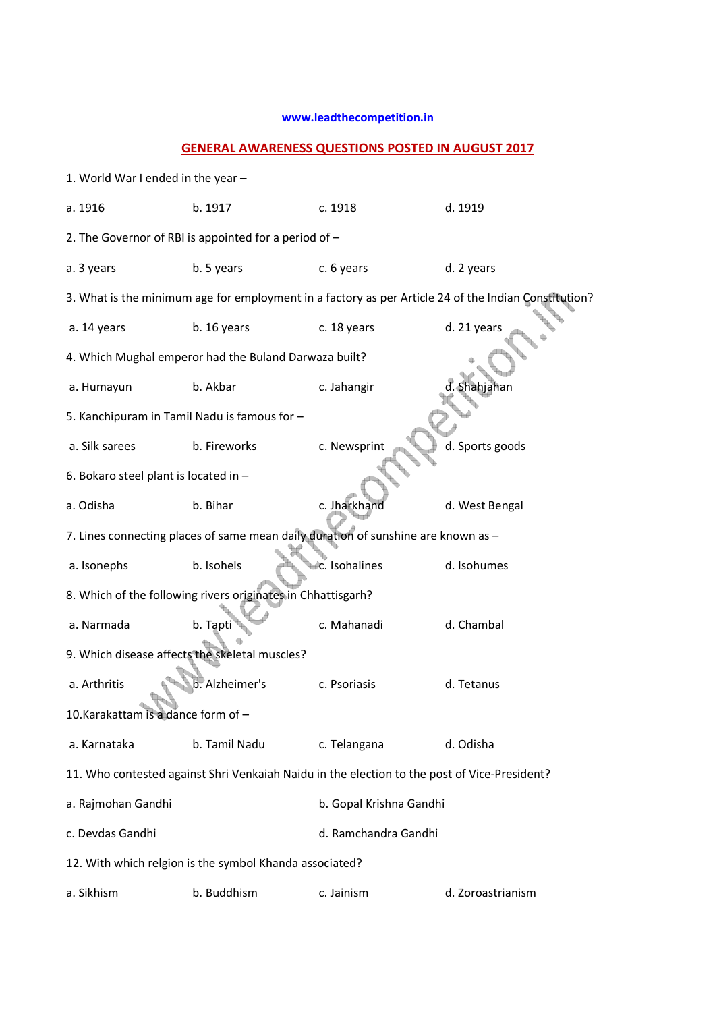## **www.leadthecompetition.in**

## **GENERAL AWARENESS QUESTIONS POSTED IN AUGUST 2017**

| 1. World War I ended in the year -                                                |                                                                                              |                         |                                                                                                      |  |  |  |
|-----------------------------------------------------------------------------------|----------------------------------------------------------------------------------------------|-------------------------|------------------------------------------------------------------------------------------------------|--|--|--|
| a. 1916                                                                           | b. 1917                                                                                      | c. 1918                 | d. 1919                                                                                              |  |  |  |
|                                                                                   | 2. The Governor of RBI is appointed for a period of -                                        |                         |                                                                                                      |  |  |  |
| a. 3 years                                                                        | b. 5 years                                                                                   | c. 6 years              | d. 2 years                                                                                           |  |  |  |
|                                                                                   |                                                                                              |                         | 3. What is the minimum age for employment in a factory as per Article 24 of the Indian Constitution? |  |  |  |
| a. 14 years                                                                       | b. 16 years                                                                                  | c. 18 years             | d. 21 years                                                                                          |  |  |  |
|                                                                                   | 4. Which Mughal emperor had the Buland Darwaza built?                                        |                         |                                                                                                      |  |  |  |
| a. Humayun                                                                        | b. Akbar                                                                                     | c. Jahangir             | d. Shahjahan                                                                                         |  |  |  |
| 5. Kanchipuram in Tamil Nadu is famous for -                                      |                                                                                              |                         |                                                                                                      |  |  |  |
| a. Silk sarees                                                                    | b. Fireworks                                                                                 | c. Newsprint            | d. Sports goods                                                                                      |  |  |  |
| 6. Bokaro steel plant is located in -                                             |                                                                                              |                         |                                                                                                      |  |  |  |
| a. Odisha                                                                         | b. Bihar                                                                                     | c. Jharkhand            | d. West Bengal                                                                                       |  |  |  |
| 7. Lines connecting places of same mean daily duration of sunshine are known as - |                                                                                              |                         |                                                                                                      |  |  |  |
| a. Isonephs                                                                       | b. Isohels                                                                                   | c. Isohalines           | d. Isohumes                                                                                          |  |  |  |
|                                                                                   | 8. Which of the following rivers originates in Chhattisgarh?                                 |                         |                                                                                                      |  |  |  |
| a. Narmada                                                                        | b. Tapti                                                                                     | c. Mahanadi             | d. Chambal                                                                                           |  |  |  |
| 9. Which disease affects the skeletal muscles?                                    |                                                                                              |                         |                                                                                                      |  |  |  |
| a. Arthritis                                                                      | b. Alzheimer's                                                                               | c. Psoriasis            | d. Tetanus                                                                                           |  |  |  |
| 10.Karakattam is a dance form of -                                                |                                                                                              |                         |                                                                                                      |  |  |  |
| a. Karnataka                                                                      | b. Tamil Nadu                                                                                | c. Telangana            | d. Odisha                                                                                            |  |  |  |
|                                                                                   | 11. Who contested against Shri Venkaiah Naidu in the election to the post of Vice-President? |                         |                                                                                                      |  |  |  |
| a. Rajmohan Gandhi                                                                |                                                                                              | b. Gopal Krishna Gandhi |                                                                                                      |  |  |  |
| c. Devdas Gandhi                                                                  |                                                                                              | d. Ramchandra Gandhi    |                                                                                                      |  |  |  |
|                                                                                   | 12. With which relgion is the symbol Khanda associated?                                      |                         |                                                                                                      |  |  |  |
| a. Sikhism                                                                        | b. Buddhism                                                                                  | c. Jainism              | d. Zoroastrianism                                                                                    |  |  |  |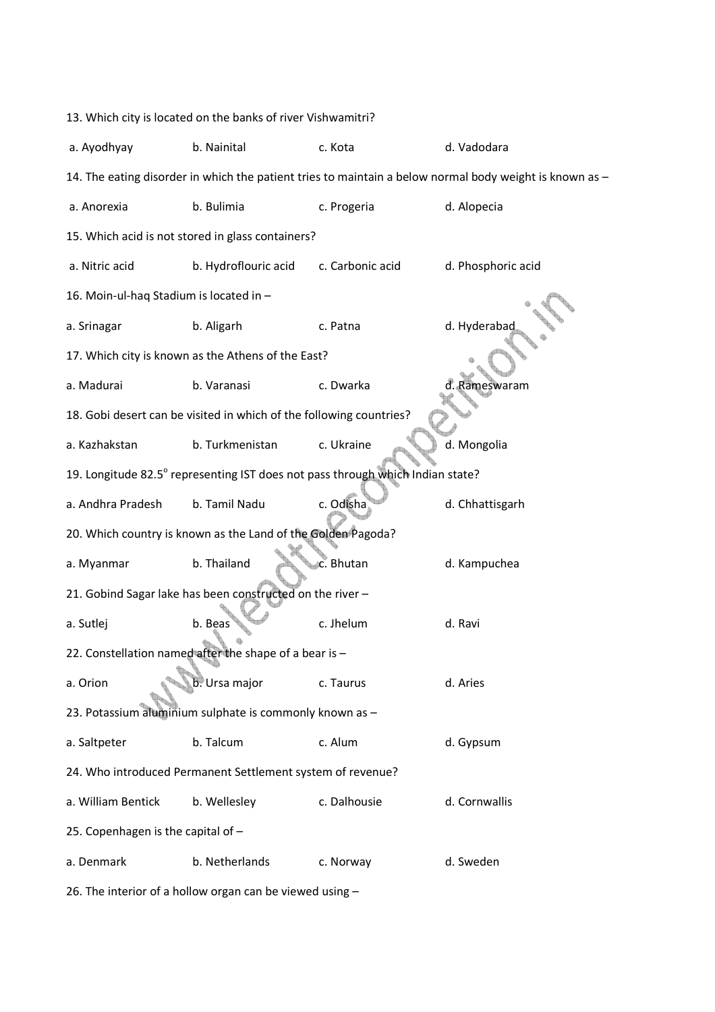| 13. Which city is located on the banks of river Vishwamitri?                                            |                                                                     |                  |                    |  |  |  |  |  |
|---------------------------------------------------------------------------------------------------------|---------------------------------------------------------------------|------------------|--------------------|--|--|--|--|--|
| a. Ayodhyay                                                                                             | b. Nainital                                                         | c. Kota          | d. Vadodara        |  |  |  |  |  |
| 14. The eating disorder in which the patient tries to maintain a below normal body weight is known as - |                                                                     |                  |                    |  |  |  |  |  |
| a. Anorexia                                                                                             | b. Bulimia                                                          | c. Progeria      | d. Alopecia        |  |  |  |  |  |
|                                                                                                         | 15. Which acid is not stored in glass containers?                   |                  |                    |  |  |  |  |  |
| a. Nitric acid                                                                                          | b. Hydroflouric acid                                                | c. Carbonic acid | d. Phosphoric acid |  |  |  |  |  |
| 16. Moin-ul-haq Stadium is located in -                                                                 |                                                                     |                  |                    |  |  |  |  |  |
| a. Srinagar                                                                                             | b. Aligarh                                                          | c. Patna         | d. Hyderabac       |  |  |  |  |  |
|                                                                                                         | 17. Which city is known as the Athens of the East?                  |                  |                    |  |  |  |  |  |
| a. Madurai                                                                                              | b. Varanasi                                                         | c. Dwarka        | d. Rameswaram      |  |  |  |  |  |
|                                                                                                         | 18. Gobi desert can be visited in which of the following countries? |                  |                    |  |  |  |  |  |
| a. Kazhakstan                                                                                           | b. Turkmenistan                                                     | c. Ukraine       | d. Mongolia        |  |  |  |  |  |
| 19. Longitude 82.5° representing IST does not pass through which Indian state?                          |                                                                     |                  |                    |  |  |  |  |  |
| a. Andhra Pradesh                                                                                       | b. Tamil Nadu                                                       | c. Odisha        | d. Chhattisgarh    |  |  |  |  |  |
|                                                                                                         | 20. Which country is known as the Land of the Golden Pagoda?        |                  |                    |  |  |  |  |  |
| a. Myanmar                                                                                              | b. Thailand                                                         | c. Bhutan        | d. Kampuchea       |  |  |  |  |  |
|                                                                                                         | 21. Gobind Sagar lake has been constructed on the river-            |                  |                    |  |  |  |  |  |
| a. Sutlej                                                                                               | b. Beas                                                             | c. Jhelum        | d. Ravi            |  |  |  |  |  |
|                                                                                                         | 22. Constellation named after the shape of a bear is -              |                  |                    |  |  |  |  |  |
| a. Orion                                                                                                | b. Ursa major                                                       | c. Taurus        | d. Aries           |  |  |  |  |  |
|                                                                                                         | 23. Potassium aluminium sulphate is commonly known as -             |                  |                    |  |  |  |  |  |
| a. Saltpeter                                                                                            | b. Talcum                                                           | c. Alum          | d. Gypsum          |  |  |  |  |  |
|                                                                                                         | 24. Who introduced Permanent Settlement system of revenue?          |                  |                    |  |  |  |  |  |
| a. William Bentick                                                                                      | b. Wellesley                                                        | c. Dalhousie     | d. Cornwallis      |  |  |  |  |  |
| 25. Copenhagen is the capital of -                                                                      |                                                                     |                  |                    |  |  |  |  |  |
| a. Denmark                                                                                              | b. Netherlands                                                      | c. Norway        | d. Sweden          |  |  |  |  |  |
|                                                                                                         |                                                                     |                  |                    |  |  |  |  |  |

26. The interior of a hollow organ can be viewed using –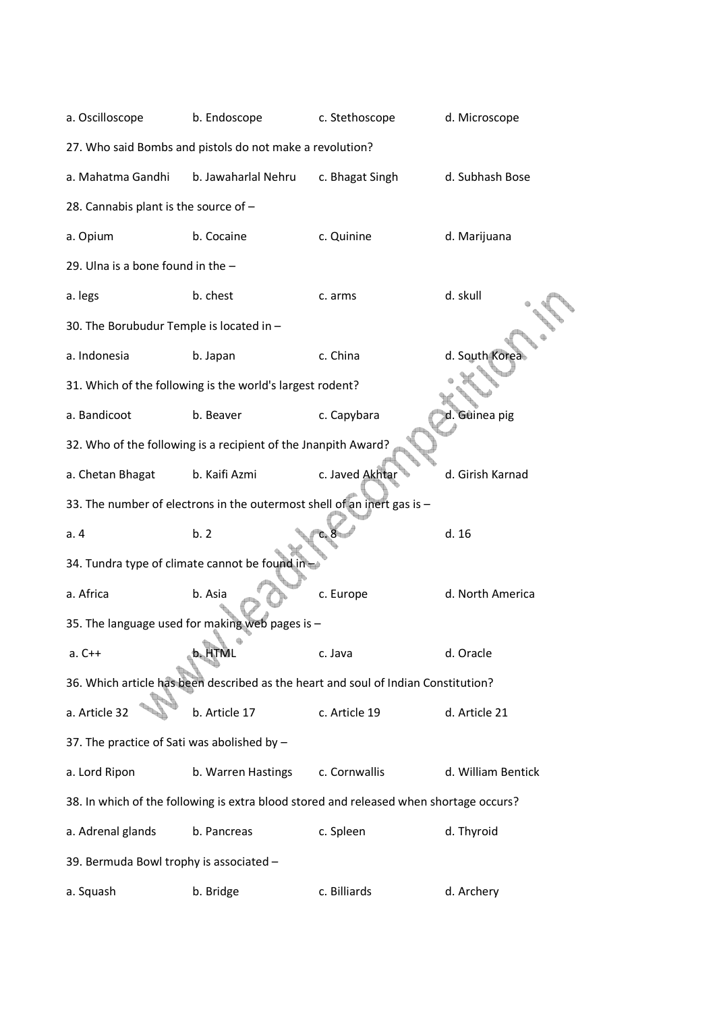| a. Oscilloscope                             | b. Endoscope                                                                           | c. Stethoscope  | d. Microscope      |
|---------------------------------------------|----------------------------------------------------------------------------------------|-----------------|--------------------|
|                                             | 27. Who said Bombs and pistols do not make a revolution?                               |                 |                    |
| a. Mahatma Gandhi                           | b. Jawaharlal Nehru                                                                    | c. Bhagat Singh | d. Subhash Bose    |
| 28. Cannabis plant is the source of -       |                                                                                        |                 |                    |
| a. Opium                                    | b. Cocaine                                                                             | c. Quinine      | d. Marijuana       |
| 29. Ulna is a bone found in the $-$         |                                                                                        |                 |                    |
| a. legs                                     | b. chest                                                                               | c. arms         | d. skull           |
| 30. The Borubudur Temple is located in -    |                                                                                        |                 |                    |
| a. Indonesia                                | b. Japan                                                                               | c. China        | d. South Korea     |
|                                             | 31. Which of the following is the world's largest rodent?                              |                 |                    |
| a. Bandicoot                                | b. Beaver                                                                              | c. Capybara     | d. Guinea pig      |
|                                             | 32. Who of the following is a recipient of the Jnanpith Award?                         |                 |                    |
| a. Chetan Bhagat                            | b. Kaifi Azmi                                                                          | c. Javed Akhtar | d. Girish Karnad   |
|                                             | 33. The number of electrons in the outermost shell of an inert gas is -                |                 |                    |
| a.4                                         | b.2                                                                                    |                 | d.16               |
|                                             | 34. Tundra type of climate cannot be found in-                                         |                 |                    |
| a. Africa                                   | b. Asia                                                                                | c. Europe       | d. North America   |
|                                             | 35. The language used for making web pages is -                                        |                 |                    |
| $a. C++$                                    | b. HTML                                                                                | c. Java         | d. Oracle          |
|                                             | 36. Which article has been described as the heart and soul of Indian Constitution?     |                 |                    |
| a. Article 32                               | b. Article 17                                                                          | c. Article 19   | d. Article 21      |
| 37. The practice of Sati was abolished by - |                                                                                        |                 |                    |
| a. Lord Ripon                               | b. Warren Hastings                                                                     | c. Cornwallis   | d. William Bentick |
|                                             | 38. In which of the following is extra blood stored and released when shortage occurs? |                 |                    |
| a. Adrenal glands                           | b. Pancreas                                                                            | c. Spleen       | d. Thyroid         |
| 39. Bermuda Bowl trophy is associated -     |                                                                                        |                 |                    |
| a. Squash                                   | b. Bridge                                                                              | c. Billiards    | d. Archery         |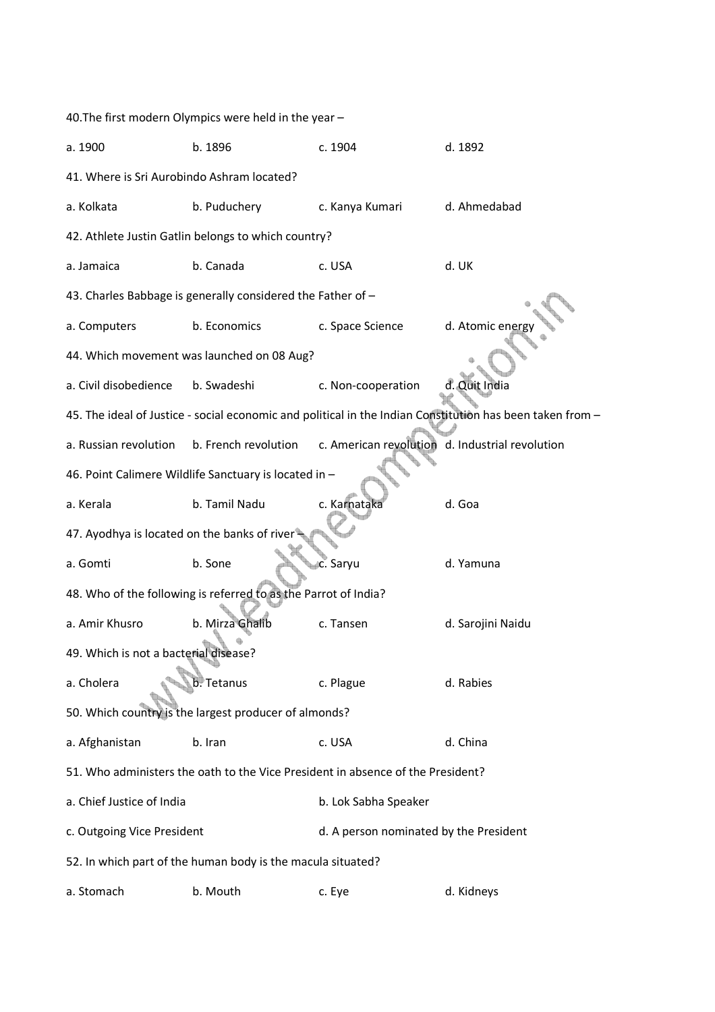40.The first modern Olympics were held in the year – a. 1900 b. 1896 c. 1904 d. 1892 41. Where is Sri Aurobindo Ashram located? a. Kolkata b. Puduchery c. Kanya Kumari d. Ahmedabad 42. Athlete Justin Gatlin belongs to which country? a. Jamaica b. Canada c. USA d. UK 43. Charles Babbage is generally considered the Father of – a. Computers b. Economics c. Space Science d. Atomic energy 44. Which movement was launched on 08 Aug? a. Civil disobedience b. Swadeshi c. Non-cooperation d. Quit India 45. The ideal of Justice - social economic and political in the Indian Constitution has been taken from – a. Russian revolution b. French revolution c. American revolution d. Industrial revolution 46. Point Calimere Wildlife Sanctuary is located in – a. Kerala b. Tamil Nadu c. Karnataka d. Goa 47. Ayodhya is located on the banks of river – a. Gomti b. Sone b. Sone c. Saryu d. Yamuna 48. Who of the following is referred to as the Parrot of India? a. Amir Khusro b. Mirza Ghalib c. Tansen d. Sarojini Naidu 49. Which is not a bacterial disease? a. Cholera **b. Tetanus** c. Plague d. Rabies 50. Which country is the largest producer of almonds? a. Afghanistan b. Iran c. USA d. China 51. Who administers the oath to the Vice President in absence of the President? a. Chief Justice of India b. Lok Sabha Speaker c. Outgoing Vice President and the Mateus d. A person nominated by the President 52. In which part of the human body is the macula situated? a. Stomach b. Mouth c. Eye d. Kidneys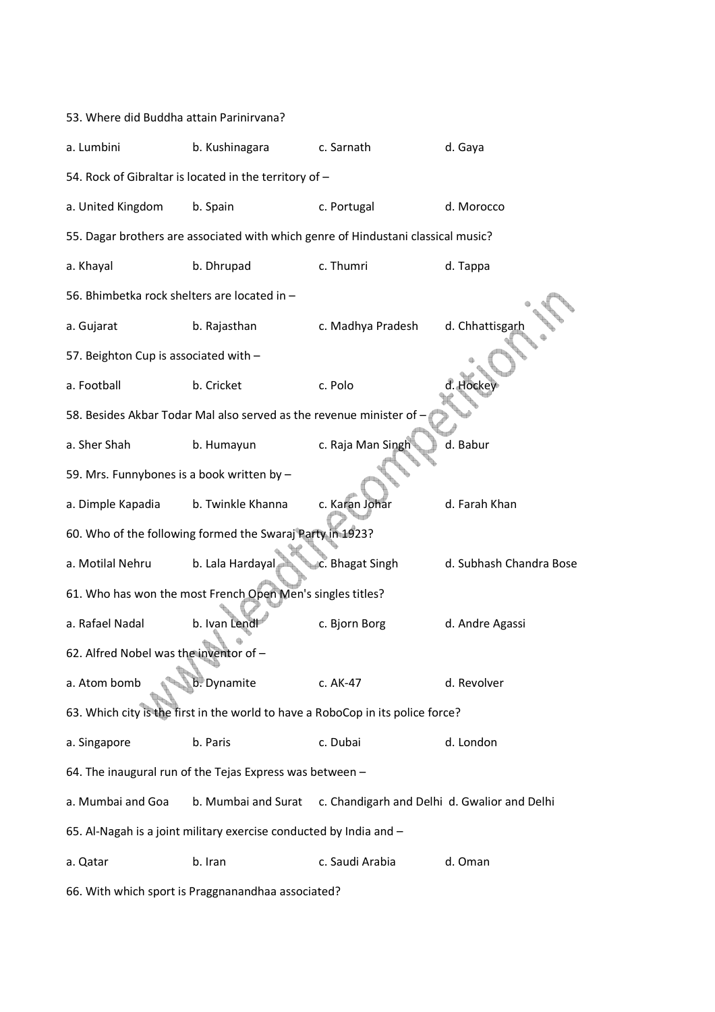53. Where did Buddha attain Parinirvana? a. Lumbini b. Kushinagara c. Sarnath d. Gaya 54. Rock of Gibraltar is located in the territory of – a. United Kingdom b. Spain c. Portugal d. Morocco 55. Dagar brothers are associated with which genre of Hindustani classical music? a. Khayal b. Dhrupad c. Thumri d. Tappa 56. Bhimbetka rock shelters are located in – a. Gujarat b. Rajasthan c. Madhya Pradesh d. Chhattisgar 57. Beighton Cup is associated with – a. Football b. Cricket c. Polo 58. Besides Akbar Todar Mal also served as the revenue minister of – a. Sher Shah b. Humayun c. Raja Man Singh d. Babur 59. Mrs. Funnybones is a book written by – a. Dimple Kapadia b. Twinkle Khanna c. Karan Johar d. Farah Khan 60. Who of the following formed the Swaraj Party in 1923? a. Motilal Nehru b. Lala Hardayal c. Bhagat Singh d. Subhash Chandra Bose 61. Who has won the most French Open Men's singles titles? a. Rafael Nadal b. Ivan Lendl c. Bjorn Borg d. Andre Agassi 62. Alfred Nobel was the inventor of – a. Atom bomb b. Dynamite c. AK-47 d. Revolver 63. Which city is the first in the world to have a RoboCop in its police force? a. Singapore b. Paris c. Dubai d. London 64. The inaugural run of the Tejas Express was between – a. Mumbai and Goa b. Mumbai and Surat c. Chandigarh and Delhi d. Gwalior and Delhi 65. Al-Nagah is a joint military exercise conducted by India and – a. Qatar b. Iran c. Saudi Arabia d. Oman

66. With which sport is Praggnanandhaa associated?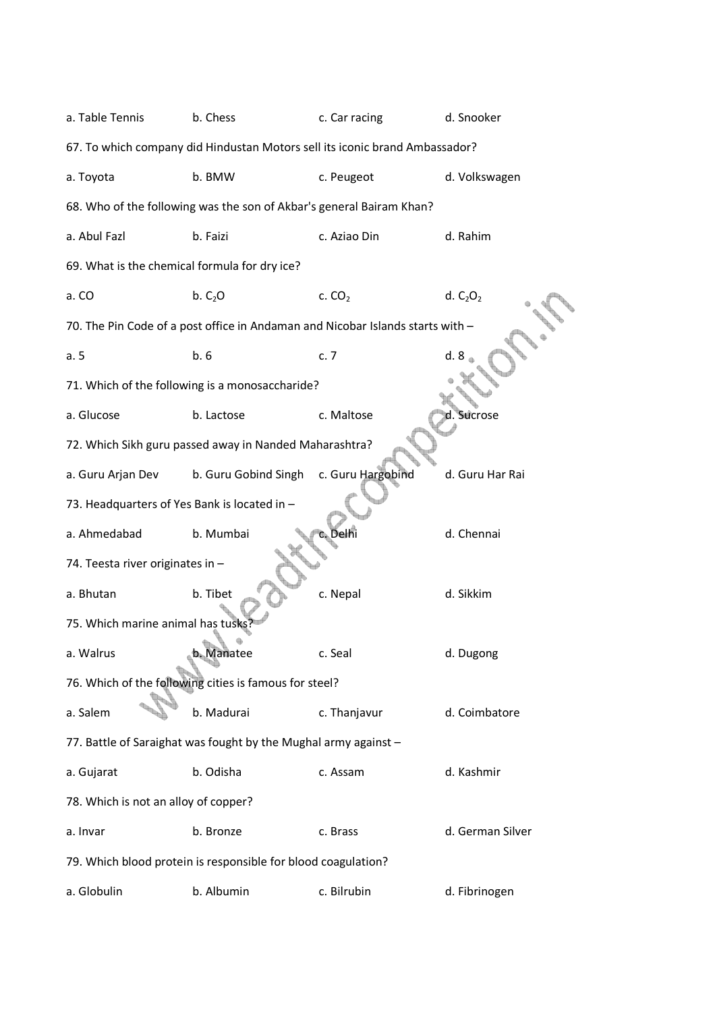a. Table Tennis b. Chess c. Car racing d. Snooker 67. To which company did Hindustan Motors sell its iconic brand Ambassador? a. Toyota b. BMW c. Peugeot d. Volkswagen 68. Who of the following was the son of Akbar's general Bairam Khan? a. Abul Fazl b. Faizi c. Aziao Din d. Rahim 69. What is the chemical formula for dry ice? a. CO b. C<sub>2</sub>O c. CO<sub>2</sub> d. C<sub>2</sub>O<sub>2</sub> 70. The Pin Code of a post office in Andaman and Nicobar Islands starts with – a. 5 b. 6 c. 7 d. 8 71. Which of the following is a monosaccharide? a. Glucose b. Lactose c. Maltose d. Sucrose 72. Which Sikh guru passed away in Nanded Maharashtra? a. Guru Arjan Dev b. Guru Gobind Singh c. Guru Hargobind d. Guru Har Rai 73. Headquarters of Yes Bank is located in – a. Ahmedabad b. Mumbai c. Delhi d. Chennai 74. Teesta river originates in – a. Bhutan b. Tibet c. Nepal d. Sikkim 75. Which marine animal has tusk a. Walrus b. Manatee c. Seal d. Dugong 76. Which of the following cities is famous for steel? a. Salem b. Madurai c. Thanjavur d. Coimbatore 77. Battle of Saraighat was fought by the Mughal army against – a. Gujarat b. Odisha c. Assam d. Kashmir 78. Which is not an alloy of copper? a. Invar b. Bronze c. Brass d. German Silver 79. Which blood protein is responsible for blood coagulation? a. Globulin b. Albumin c. Bilrubin d. Fibrinogen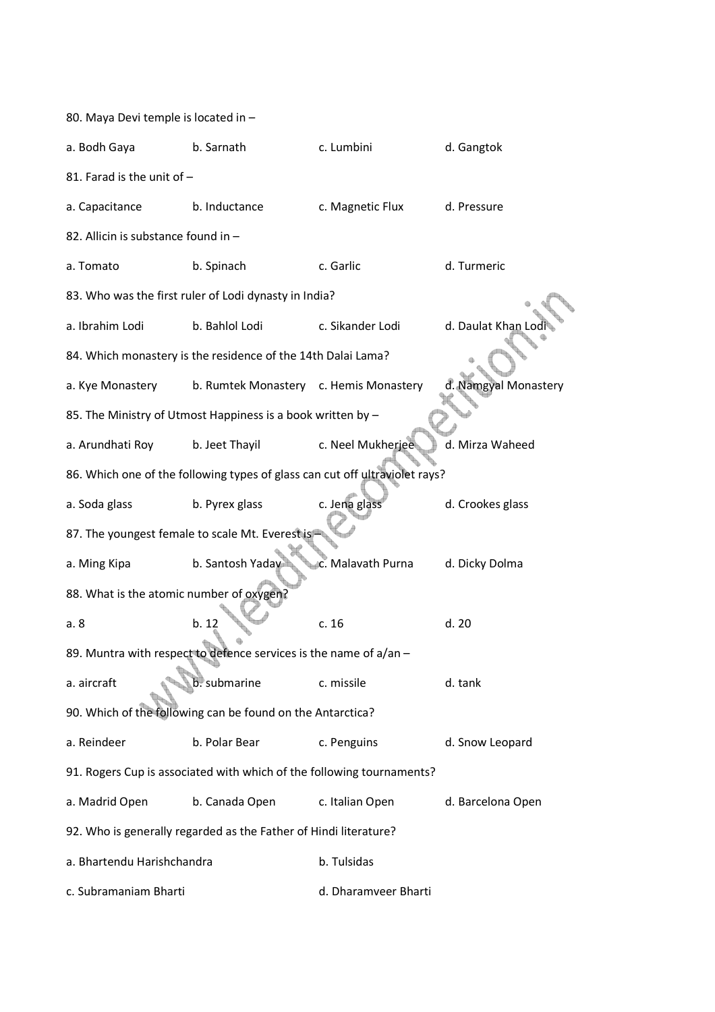| 80. Maya Devi temple is located in -                             |                                                                             |                      |                      |  |  |  |  |
|------------------------------------------------------------------|-----------------------------------------------------------------------------|----------------------|----------------------|--|--|--|--|
| a. Bodh Gaya                                                     | b. Sarnath                                                                  | c. Lumbini           | d. Gangtok           |  |  |  |  |
| 81. Farad is the unit of -                                       |                                                                             |                      |                      |  |  |  |  |
| a. Capacitance                                                   | b. Inductance                                                               | c. Magnetic Flux     | d. Pressure          |  |  |  |  |
| 82. Allicin is substance found in -                              |                                                                             |                      |                      |  |  |  |  |
| a. Tomato                                                        | b. Spinach                                                                  | c. Garlic            | d. Turmeric          |  |  |  |  |
|                                                                  | 83. Who was the first ruler of Lodi dynasty in India?                       |                      |                      |  |  |  |  |
| a. Ibrahim Lodi                                                  | b. Bahlol Lodi                                                              | c. Sikander Lodi     | d. Daulat Khan Lod   |  |  |  |  |
|                                                                  | 84. Which monastery is the residence of the 14th Dalai Lama?                |                      |                      |  |  |  |  |
| a. Kye Monastery                                                 | b. Rumtek Monastery c. Hemis Monastery                                      |                      | d. Namgyal Monastery |  |  |  |  |
|                                                                  | 85. The Ministry of Utmost Happiness is a book written by -                 |                      |                      |  |  |  |  |
| a. Arundhati Roy                                                 | b. Jeet Thayil                                                              | c. Neel Mukherjee    | d. Mirza Waheed      |  |  |  |  |
|                                                                  | 86. Which one of the following types of glass can cut off ultraviolet rays? |                      |                      |  |  |  |  |
| a. Soda glass                                                    | b. Pyrex glass                                                              | c. Jena glass        | d. Crookes glass     |  |  |  |  |
|                                                                  | 87. The youngest female to scale Mt. Everest is                             |                      |                      |  |  |  |  |
| a. Ming Kipa                                                     | b. Santosh Yaday                                                            | c. Malavath Purna    | d. Dicky Dolma       |  |  |  |  |
| 88. What is the atomic number of oxygen?                         |                                                                             |                      |                      |  |  |  |  |
| a. 8                                                             | b. 12                                                                       | c.16                 | d.20                 |  |  |  |  |
|                                                                  | 89. Muntra with respect to defence services is the name of a/an -           |                      |                      |  |  |  |  |
| a. aircraft                                                      | b. submarine                                                                | c. missile           | d. tank              |  |  |  |  |
|                                                                  | 90. Which of the following can be found on the Antarctica?                  |                      |                      |  |  |  |  |
| a. Reindeer                                                      | b. Polar Bear                                                               | c. Penguins          | d. Snow Leopard      |  |  |  |  |
|                                                                  | 91. Rogers Cup is associated with which of the following tournaments?       |                      |                      |  |  |  |  |
| a. Madrid Open                                                   | b. Canada Open                                                              | c. Italian Open      | d. Barcelona Open    |  |  |  |  |
| 92. Who is generally regarded as the Father of Hindi literature? |                                                                             |                      |                      |  |  |  |  |
| a. Bhartendu Harishchandra                                       |                                                                             | b. Tulsidas          |                      |  |  |  |  |
| c. Subramaniam Bharti                                            |                                                                             | d. Dharamveer Bharti |                      |  |  |  |  |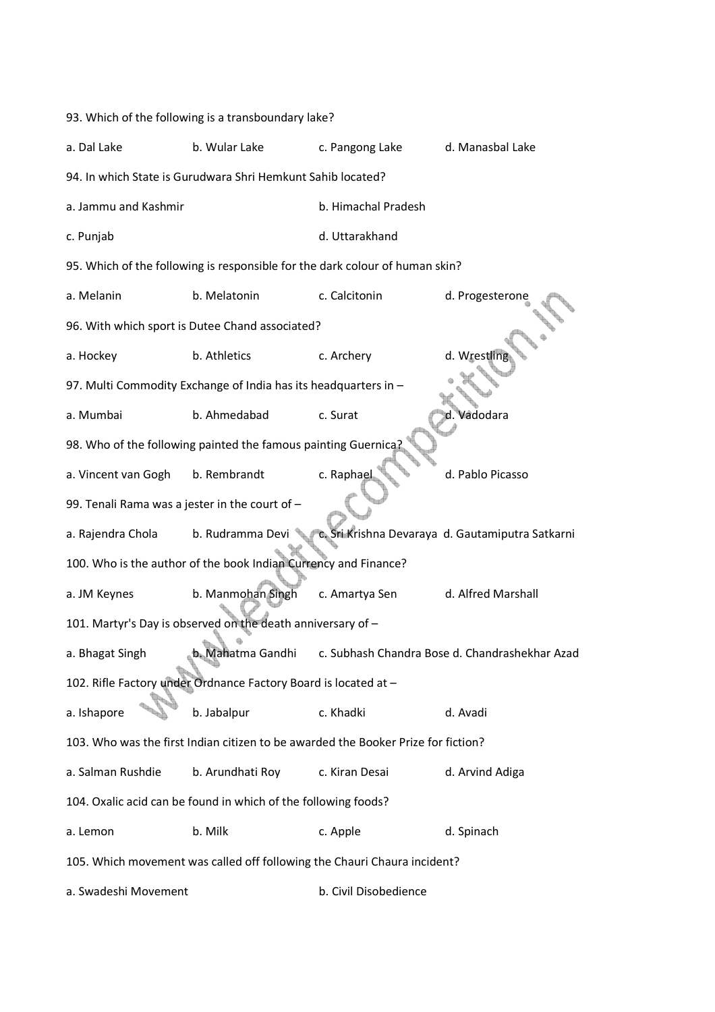93. Which of the following is a transboundary lake? a. Dal Lake b. Wular Lake c. Pangong Lake d. Manasbal Lake 94. In which State is Gurudwara Shri Hemkunt Sahib located? a. Jammu and Kashmir b. Himachal Pradesh c. Punjab d. Uttarakhand 95. Which of the following is responsible for the dark colour of human skin? a. Melanin b. Melatonin c. Calcitonin d. Progesterone 96. With which sport is Dutee Chand associated? a. Hockey b. Athletics c. Archery d. Wrestling 97. Multi Commodity Exchange of India has its headquarters in – a. Mumbai b. Ahmedabad c. Surat d. Vadodara 98. Who of the following painted the famous painting Guernica a. Vincent van Gogh b. Rembrandt c. Raphael d. Pablo Picasso 99. Tenali Rama was a jester in the court of – a. Rajendra Chola b. Rudramma Devi c. Sri Krishna Devaraya d. Gautamiputra Satkarni 100. Who is the author of the book Indian Currency and Finance? a. JM Keynes b. Manmohan Singh c. Amartya Sen d. Alfred Marshall 101. Martyr's Day is observed on the death anniversary of – a. Bhagat Singh b. Mahatma Gandhi c. Subhash Chandra Bose d. Chandrashekhar Azad 102. Rifle Factory under Ordnance Factory Board is located at – a. Ishapore b. Jabalpur c. Khadki d. Avadi 103. Who was the first Indian citizen to be awarded the Booker Prize for fiction? a. Salman Rushdie b. Arundhati Roy c. Kiran Desai d. Arvind Adiga 104. Oxalic acid can be found in which of the following foods? a. Lemon b. Milk c. Apple d. Spinach 105. Which movement was called off following the Chauri Chaura incident? a. Swadeshi Movement b. Civil Disobedience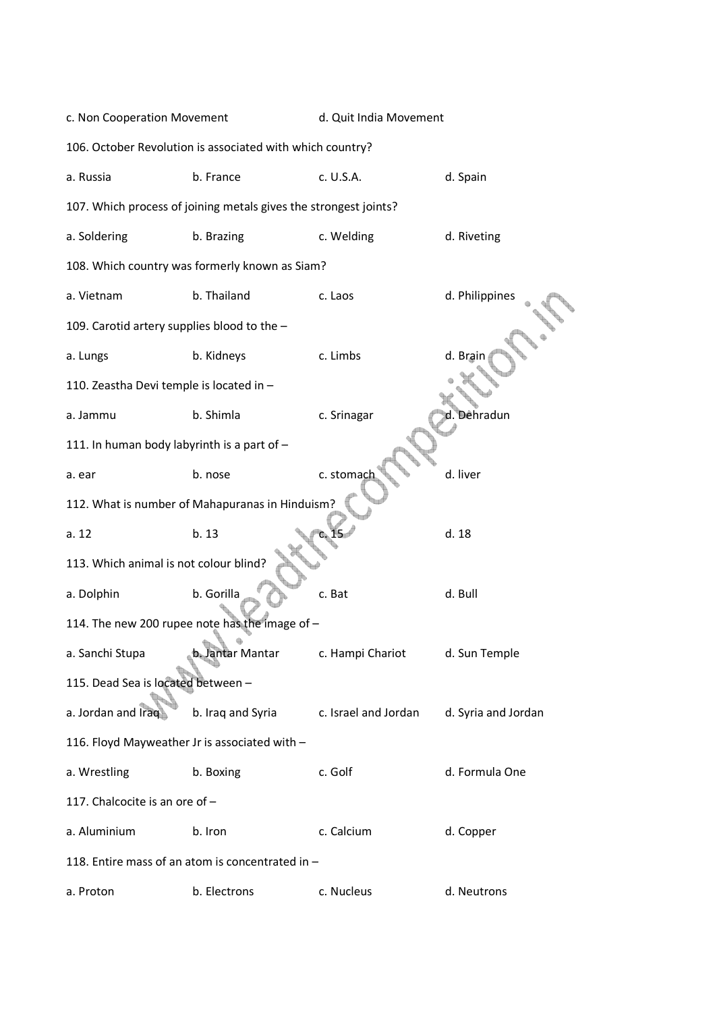| c. Non Cooperation Movement                                      |                                                  | d. Quit India Movement |                     |  |  |  |  |
|------------------------------------------------------------------|--------------------------------------------------|------------------------|---------------------|--|--|--|--|
| 106. October Revolution is associated with which country?        |                                                  |                        |                     |  |  |  |  |
| a. Russia                                                        | b. France                                        | c. U.S.A.              | d. Spain            |  |  |  |  |
| 107. Which process of joining metals gives the strongest joints? |                                                  |                        |                     |  |  |  |  |
| a. Soldering                                                     | b. Brazing                                       | c. Welding             | d. Riveting         |  |  |  |  |
|                                                                  | 108. Which country was formerly known as Siam?   |                        |                     |  |  |  |  |
| a. Vietnam                                                       | b. Thailand                                      | c. Laos                | d. Philippines      |  |  |  |  |
| 109. Carotid artery supplies blood to the -                      |                                                  |                        |                     |  |  |  |  |
| a. Lungs                                                         | b. Kidneys                                       | c. Limbs               | d. Brair            |  |  |  |  |
| 110. Zeastha Devi temple is located in -                         |                                                  |                        |                     |  |  |  |  |
| a. Jammu                                                         | b. Shimla                                        | c. Srinagar            | d. Dêhradun         |  |  |  |  |
| 111. In human body labyrinth is a part of -                      |                                                  |                        |                     |  |  |  |  |
| a. ear                                                           | b. nose                                          | c. stomach             | d. liver            |  |  |  |  |
|                                                                  | 112. What is number of Mahapuranas in Hinduism?  |                        |                     |  |  |  |  |
| a.12                                                             | b. 13                                            |                        | d. 18               |  |  |  |  |
| 113. Which animal is not colour blind?                           |                                                  |                        |                     |  |  |  |  |
| a. Dolphin                                                       | b. Gorilla                                       | c. Bat                 | d. Bull             |  |  |  |  |
|                                                                  | 114. The new 200 rupee note has the image of -   |                        |                     |  |  |  |  |
| a. Sanchi Stupa                                                  | b. Jantar Mantar                                 | c. Hampi Chariot       | d. Sun Temple       |  |  |  |  |
| 115. Dead Sea is located between -                               |                                                  |                        |                     |  |  |  |  |
| a. Jordan and Iraq                                               | b. Iraq and Syria                                | c. Israel and Jordan   | d. Syria and Jordan |  |  |  |  |
| 116. Floyd Mayweather Jr is associated with -                    |                                                  |                        |                     |  |  |  |  |
| a. Wrestling                                                     | b. Boxing                                        | c. Golf                | d. Formula One      |  |  |  |  |
| 117. Chalcocite is an ore of -                                   |                                                  |                        |                     |  |  |  |  |
| a. Aluminium                                                     | b. Iron                                          | c. Calcium             | d. Copper           |  |  |  |  |
|                                                                  | 118. Entire mass of an atom is concentrated in - |                        |                     |  |  |  |  |
| a. Proton                                                        | b. Electrons                                     | c. Nucleus             | d. Neutrons         |  |  |  |  |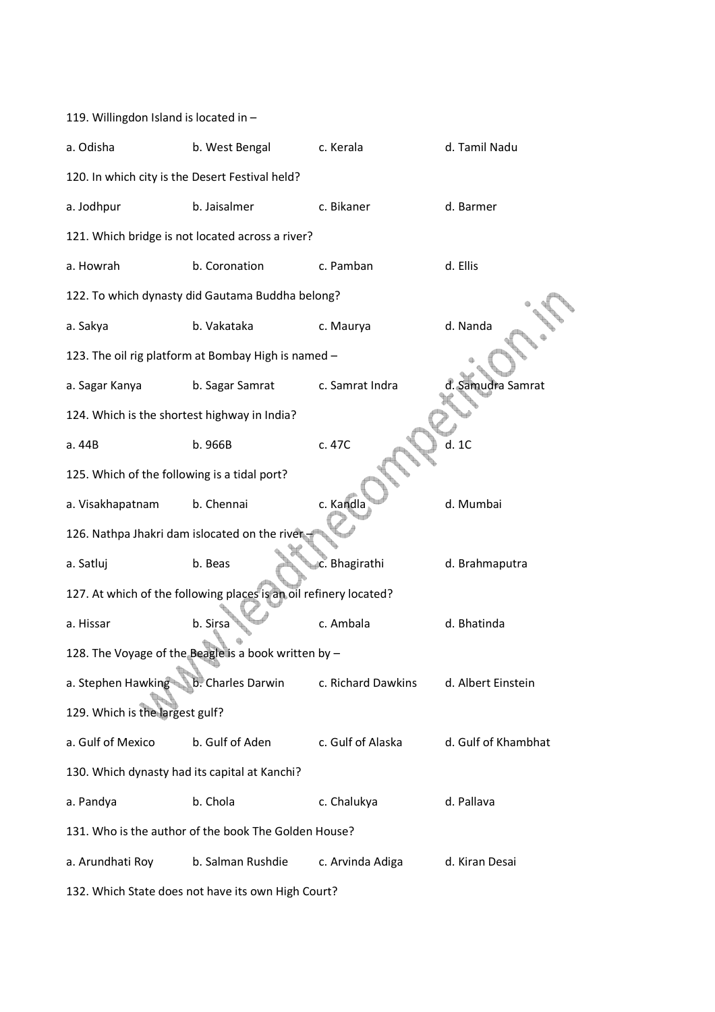| 119. Willingdon Island is located in -          |                                                                   |                    |                     |
|-------------------------------------------------|-------------------------------------------------------------------|--------------------|---------------------|
| a. Odisha                                       | b. West Bengal                                                    | c. Kerala          | d. Tamil Nadu       |
| 120. In which city is the Desert Festival held? |                                                                   |                    |                     |
| a. Jodhpur                                      | b. Jaisalmer                                                      | c. Bikaner         | d. Barmer           |
|                                                 | 121. Which bridge is not located across a river?                  |                    |                     |
| a. Howrah                                       | b. Coronation                                                     | c. Pamban          | d. Ellis            |
|                                                 | 122. To which dynasty did Gautama Buddha belong?                  |                    |                     |
| a. Sakya                                        | b. Vakataka                                                       | c. Maurya          | d. Nanda            |
|                                                 | 123. The oil rig platform at Bombay High is named -               |                    |                     |
| a. Sagar Kanya                                  | b. Sagar Samrat                                                   | c. Samrat Indra    | d. Samudra Samrat   |
| 124. Which is the shortest highway in India?    |                                                                   |                    |                     |
| a. 44B                                          | b. 966B                                                           | c. 47C             | d.1C                |
| 125. Which of the following is a tidal port?    |                                                                   |                    |                     |
| a. Visakhapatnam                                | b. Chennai                                                        | c. Kandla          | d. Mumbai           |
| 126. Nathpa Jhakri dam islocated on the river   |                                                                   |                    |                     |
| a. Satluj                                       | b. Beas                                                           | c. Bhagirathi      | d. Brahmaputra      |
|                                                 | 127. At which of the following places is an oil refinery located? |                    |                     |
| a. Hissar                                       | b. Sirsa                                                          | c. Ambala          | d. Bhatinda         |
|                                                 | 128. The Voyage of the Beagle is a book written by -              |                    |                     |
| a. Stephen Hawking                              | b. Charles Darwin                                                 | c. Richard Dawkins | d. Albert Einstein  |
| 129. Which is the largest gulf?                 |                                                                   |                    |                     |
| a. Gulf of Mexico                               | b. Gulf of Aden                                                   | c. Gulf of Alaska  | d. Gulf of Khambhat |
| 130. Which dynasty had its capital at Kanchi?   |                                                                   |                    |                     |
| a. Pandya                                       | b. Chola                                                          | c. Chalukya        | d. Pallava          |
|                                                 | 131. Who is the author of the book The Golden House?              |                    |                     |
| a. Arundhati Roy                                | b. Salman Rushdie                                                 | c. Arvinda Adiga   | d. Kiran Desai      |
|                                                 |                                                                   |                    |                     |

132. Which State does not have its own High Court?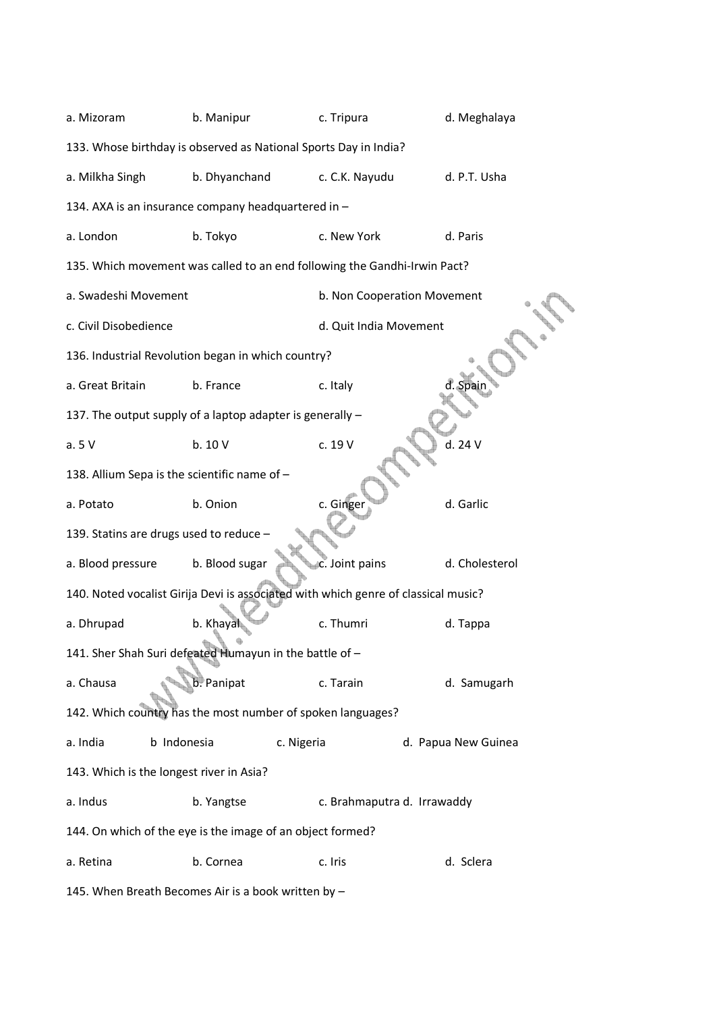| a. Mizoram                                                       | b. Manipur         | c. Tripura                                                                         | d. Meghalaya        |  |  |  |  |  |
|------------------------------------------------------------------|--------------------|------------------------------------------------------------------------------------|---------------------|--|--|--|--|--|
| 133. Whose birthday is observed as National Sports Day in India? |                    |                                                                                    |                     |  |  |  |  |  |
| a. Milkha Singh                                                  | b. Dhyanchand      | c. C.K. Nayudu                                                                     | d. P.T. Usha        |  |  |  |  |  |
| 134. AXA is an insurance company headquartered in -              |                    |                                                                                    |                     |  |  |  |  |  |
| a. London                                                        | b. Tokyo           | c. New York                                                                        | d. Paris            |  |  |  |  |  |
|                                                                  |                    | 135. Which movement was called to an end following the Gandhi-Irwin Pact?          |                     |  |  |  |  |  |
| a. Swadeshi Movement                                             |                    | b. Non Cooperation Movement                                                        |                     |  |  |  |  |  |
| c. Civil Disobedience                                            |                    | d. Quit India Movement                                                             |                     |  |  |  |  |  |
| 136. Industrial Revolution began in which country?               |                    |                                                                                    |                     |  |  |  |  |  |
| a. Great Britain                                                 | b. France          | c. Italy                                                                           | .Spain              |  |  |  |  |  |
| 137. The output supply of a laptop adapter is generally -        |                    |                                                                                    |                     |  |  |  |  |  |
| a.5V                                                             | b. 10 V            | c. 19 V                                                                            | d. 24 V             |  |  |  |  |  |
| 138. Allium Sepa is the scientific name of -                     |                    |                                                                                    |                     |  |  |  |  |  |
| a. Potato                                                        | b. Onion           | c. Ginger                                                                          | d. Garlic           |  |  |  |  |  |
| 139. Statins are drugs used to reduce -                          |                    |                                                                                    |                     |  |  |  |  |  |
| a. Blood pressure                                                | b. Blood sugar     | c. Joint pains                                                                     | d. Cholesterol      |  |  |  |  |  |
|                                                                  |                    | 140. Noted vocalist Girija Devi is associated with which genre of classical music? |                     |  |  |  |  |  |
| a. Dhrupad                                                       | b. Khayal          | c. Thumri                                                                          | d. Tappa            |  |  |  |  |  |
| 141. Sher Shah Suri defeated Humayun in the battle of -          |                    |                                                                                    |                     |  |  |  |  |  |
| a. Chausa                                                        | <b>b</b> . Panipat | c. Tarain                                                                          | d. Samugarh         |  |  |  |  |  |
| 142. Which country has the most number of spoken languages?      |                    |                                                                                    |                     |  |  |  |  |  |
| b Indonesia<br>a. India                                          |                    | c. Nigeria                                                                         | d. Papua New Guinea |  |  |  |  |  |
| 143. Which is the longest river in Asia?                         |                    |                                                                                    |                     |  |  |  |  |  |
| a. Indus                                                         | b. Yangtse         | c. Brahmaputra d. Irrawaddy                                                        |                     |  |  |  |  |  |
| 144. On which of the eye is the image of an object formed?       |                    |                                                                                    |                     |  |  |  |  |  |
| a. Retina                                                        | b. Cornea          | c. Iris                                                                            | d. Sclera           |  |  |  |  |  |
|                                                                  |                    |                                                                                    |                     |  |  |  |  |  |

145. When Breath Becomes Air is a book written by –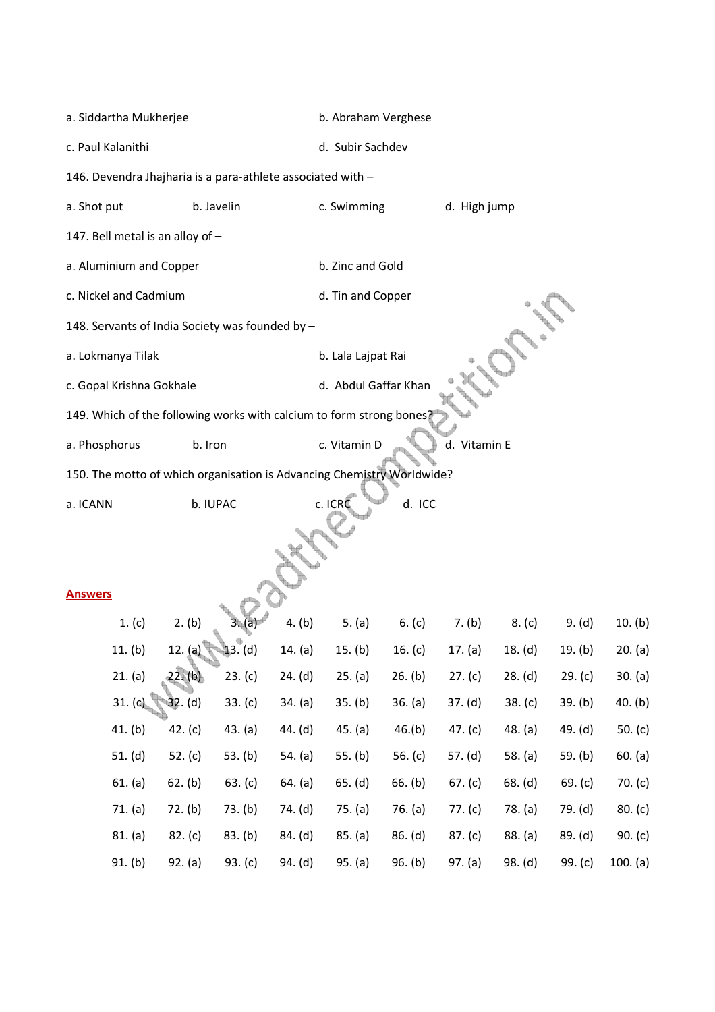| a. Siddartha Mukherjee                                                 |            |            |                  | b. Abraham Verghese  |           |              |           |           |           |
|------------------------------------------------------------------------|------------|------------|------------------|----------------------|-----------|--------------|-----------|-----------|-----------|
| c. Paul Kalanithi                                                      |            |            | d. Subir Sachdev |                      |           |              |           |           |           |
| 146. Devendra Jhajharia is a para-athlete associated with -            |            |            |                  |                      |           |              |           |           |           |
| a. Shot put                                                            |            | b. Javelin |                  | c. Swimming          |           | d. High jump |           |           |           |
| 147. Bell metal is an alloy of -                                       |            |            |                  |                      |           |              |           |           |           |
| a. Aluminium and Copper                                                |            |            |                  | b. Zinc and Gold     |           |              |           |           |           |
| c. Nickel and Cadmium                                                  |            |            |                  | d. Tin and Copper    |           |              |           |           |           |
| 148. Servants of India Society was founded by -                        |            |            |                  |                      |           |              |           |           |           |
| a. Lokmanya Tilak                                                      |            |            |                  | b. Lala Lajpat Rai   |           |              |           |           |           |
| c. Gopal Krishna Gokhale                                               |            |            |                  | d. Abdul Gaffar Khan |           |              |           |           |           |
| 149. Which of the following works with calcium to form strong bones?   |            |            |                  |                      |           |              |           |           |           |
| a. Phosphorus                                                          | b. Iron    |            |                  | c. Vitamin D         |           | d. Vitamin E |           |           |           |
|                                                                        |            |            |                  |                      |           |              |           |           |           |
| 150. The motto of which organisation is Advancing Chemistry Worldwide? |            |            |                  |                      |           |              |           |           |           |
| a. ICANN<br><b>Answers</b>                                             |            | b. IUPAC   |                  | c. ICRC              | d. ICC    |              |           |           |           |
| 1. (c)                                                                 | 2. (b)     |            | 4. (b)           | 5. $(a)$             | 6. $(c)$  | 7. (b)       | 8. (c)    | 9. (d)    | 10. (b)   |
| 11. (b)                                                                | 12. (a)    | 13.(d)     | 14. (a)          | 15. (b)              | 16. $(c)$ | 17. (a)      | 18. (d)   | 19. (b)   | 20. (a)   |
| 21. (a)                                                                | 22. (b)    | 23. (c)    | 24. (d)          | 25. (a)              | 26. (b)   | 27. (c)      | 28. (d)   | 29. (c)   | 30. (a)   |
| 31. (G)                                                                | $-32. (d)$ | 33. (c)    | 34. (a)          | 35. (b)              | 36. (a)   | 37. (d)      | 38. (c)   | 39. (b)   | 40. (b)   |
| 41. (b)                                                                | 42. $(c)$  | 43. (a)    | 44. $(d)$        | 45. (a)              | 46.(b)    | 47. $(c)$    | 48. (a)   | 49. (d)   | 50. $(c)$ |
| 51. (d)                                                                | 52. $(c)$  | 53. $(b)$  | 54. $(a)$        | 55. $(b)$            | 56. $(c)$ | 57. (d)      | 58. $(a)$ | 59. (b)   | 60. (a)   |
| 61. (a)                                                                | 62. (b)    | 63. $(c)$  | 64. (a)          | 65. (d)              | 66. (b)   | 67. (c)      | 68. (d)   | 69. (c)   | 70. $(c)$ |
| 71. (a)                                                                | 72. (b)    | 73. (b)    | 74. (d)          | 75. (a)              | 76. (a)   | 77. (c)      | 78. (a)   | 79. (d)   | 80. (c)   |
| 81. (a)                                                                | 82. (c)    | 83. (b)    | 84. (d)          | 85. (a)              | 86. (d)   | 87. (c)      | 88. (a)   | 89. (d)   | 90. $(c)$ |
| 91. (b)                                                                | 92. (a)    | 93. $(c)$  | 94. (d)          | 95. (a)              | 96. (b)   | 97. (a)      | 98. (d)   | 99. $(c)$ | 100. (a)  |